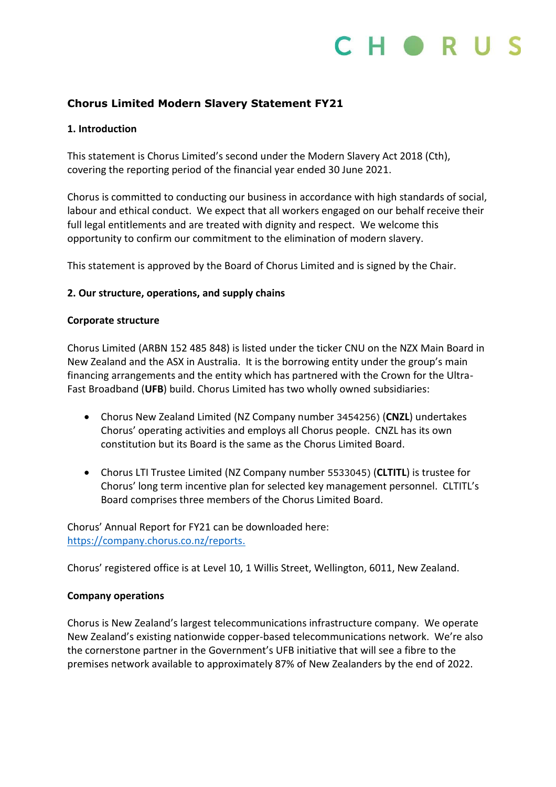

### **Chorus Limited Modern Slavery Statement FY21**

### **1. Introduction**

This statement is Chorus Limited's second under the Modern Slavery Act 2018 (Cth), covering the reporting period of the financial year ended 30 June 2021.

Chorus is committed to conducting our business in accordance with high standards of social, labour and ethical conduct. We expect that all workers engaged on our behalf receive their full legal entitlements and are treated with dignity and respect. We welcome this opportunity to confirm our commitment to the elimination of modern slavery.

This statement is approved by the Board of Chorus Limited and is signed by the Chair.

### **2. Our structure, operations, and supply chains**

### **Corporate structure**

Chorus Limited (ARBN 152 485 848) is listed under the ticker CNU on the NZX Main Board in New Zealand and the ASX in Australia. It is the borrowing entity under the group's main financing arrangements and the entity which has partnered with the Crown for the Ultra-Fast Broadband (**UFB**) build. Chorus Limited has two wholly owned subsidiaries:

- Chorus New Zealand Limited (NZ Company number 3454256) (**CNZL**) undertakes Chorus' operating activities and employs all Chorus people. CNZL has its own constitution but its Board is the same as the Chorus Limited Board.
- Chorus LTI Trustee Limited (NZ Company number 5533045) (**CLTITL**) is trustee for Chorus' long term incentive plan for selected key management personnel. CLTITL's Board comprises three members of the Chorus Limited Board.

Chorus' Annual Report for FY21 can be downloaded here: [https://company.chorus.co.nz/reports.](https://company.chorus.co.nz/reports)

Chorus' registered office is at Level 10, 1 Willis Street, Wellington, 6011, New Zealand.

### **Company operations**

Chorus is New Zealand's largest telecommunications infrastructure company. We operate New Zealand's existing nationwide copper-based telecommunications network. We're also the cornerstone partner in the Government's UFB initiative that will see a fibre to the premises network available to approximately 87% of New Zealanders by the end of 2022.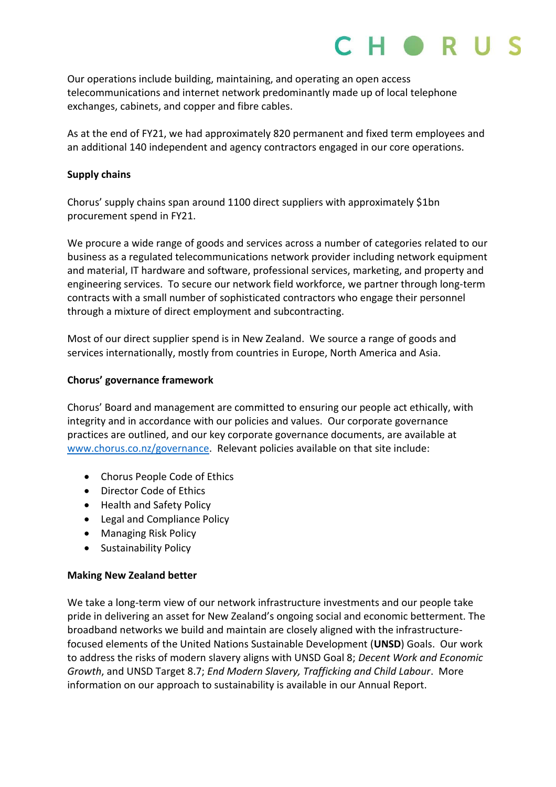## $H \bullet R$

Our operations include building, maintaining, and operating an open access telecommunications and internet network predominantly made up of local telephone exchanges, cabinets, and copper and fibre cables.

As at the end of FY21, we had approximately 820 permanent and fixed term employees and an additional 140 independent and agency contractors engaged in our core operations.

### **Supply chains**

Chorus' supply chains span around 1100 direct suppliers with approximately \$1bn procurement spend in FY21.

We procure a wide range of goods and services across a number of categories related to our business as a regulated telecommunications network provider including network equipment and material, IT hardware and software, professional services, marketing, and property and engineering services. To secure our network field workforce, we partner through long-term contracts with a small number of sophisticated contractors who engage their personnel through a mixture of direct employment and subcontracting.

Most of our direct supplier spend is in New Zealand. We source a range of goods and services internationally, mostly from countries in Europe, North America and Asia.

### **Chorus' governance framework**

Chorus' Board and management are committed to ensuring our people act ethically, with integrity and in accordance with our policies and values. Our corporate governance practices are outlined, and our key corporate governance documents, are available at [www.chorus.co.nz/governance.](http://www.chorus.co.nz/governance) Relevant policies available on that site include:

- Chorus People Code of Ethics
- Director Code of Ethics
- Health and Safety Policy
- Legal and Compliance Policy
- Managing Risk Policy
- Sustainability Policy

### **Making New Zealand better**

We take a long-term view of our network infrastructure investments and our people take pride in delivering an asset for New Zealand's ongoing social and economic betterment. The broadband networks we build and maintain are closely aligned with the infrastructurefocused elements of the United Nations Sustainable Development (**UNSD**) Goals. Our work to address the risks of modern slavery aligns with UNSD Goal 8; *Decent Work and Economic Growth*, and UNSD Target 8.7; *End Modern Slavery, Trafficking and Child Labour*. More information on our approach to sustainability is available in our Annual Report.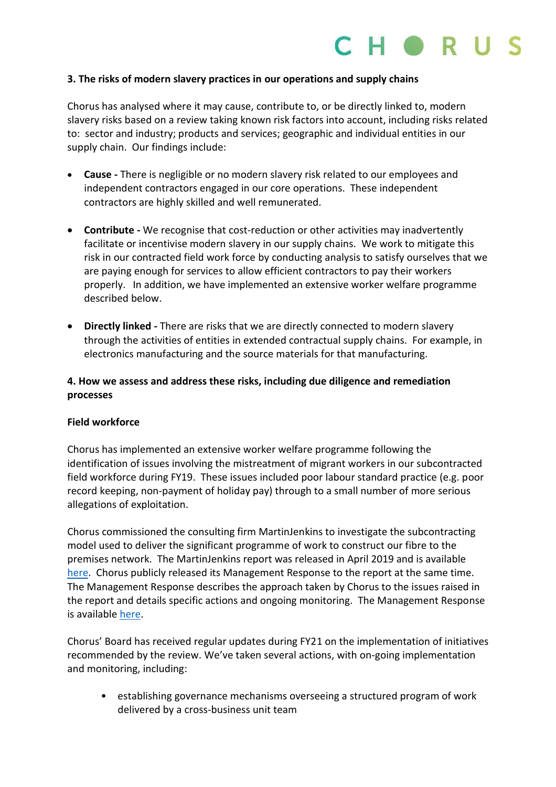

### **3. The risks of modern slavery practices in our operations and supply chains**

Chorus has analysed where it may cause, contribute to, or be directly linked to, modern slavery risks based on a review taking known risk factors into account, including risks related to: sector and industry; products and services; geographic and individual entities in our supply chain. Our findings include:

- **Cause -** There is negligible or no modern slavery risk related to our employees and independent contractors engaged in our core operations. These independent contractors are highly skilled and well remunerated.
- **Contribute -** We recognise that cost-reduction or other activities may inadvertently facilitate or incentivise modern slavery in our supply chains. We work to mitigate this risk in our contracted field work force by conducting analysis to satisfy ourselves that we are paying enough for services to allow efficient contractors to pay their workers properly. In addition, we have implemented an extensive worker welfare programme described below.
- **Directly linked -** There are risks that we are directly connected to modern slavery through the activities of entities in extended contractual supply chains. For example, in electronics manufacturing and the source materials for that manufacturing.

### **4. How we assess and address these risks, including due diligence and remediation processes**

### **Field workforce**

Chorus has implemented an extensive worker welfare programme following the identification of issues involving the mistreatment of migrant workers in our subcontracted field workforce during FY19. These issues included poor labour standard practice (e.g. poor record keeping, non-payment of holiday pay) through to a small number of more serious allegations of exploitation.

Chorus commissioned the consulting firm MartinJenkins to investigate the subcontracting model used to deliver the significant programme of work to construct our fibre to the premises network. The MartinJenkins report was released in April 2019 and is available [here.](https://www.martinjenkins.co.nz/assets/Uploads/Client/Final.Independent.Review.of.Chorus.Contracting.Model-April.2019.pdf) Chorus publicly released its Management Response to the report at the same time. The Management Response describes the approach taken by Chorus to the issues raised in the report and details specific actions and ongoing monitoring. The Management Response is available [here.](https://company.chorus.co.nz/file-download/download/public/1968)

Chorus' Board has received regular updates during FY21 on the implementation of initiatives recommended by the review. We've taken several actions, with on-going implementation and monitoring, including:

• establishing governance mechanisms overseeing a structured program of work delivered by a cross-business unit team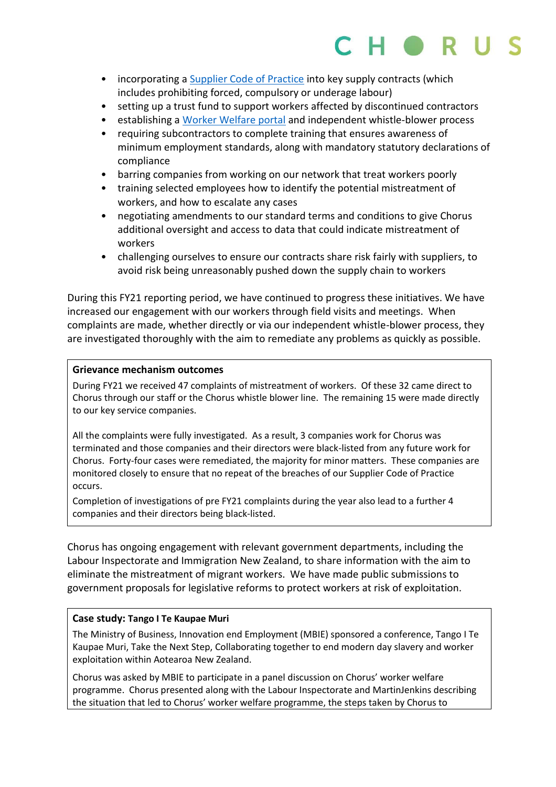- incorporating a [Supplier Code of Practice](https://company.chorus.co.nz/file-download/download/public/1972) into key supply contracts (which includes prohibiting forced, compulsory or underage labour)
- setting up a trust fund to support workers affected by discontinued contractors
- establishing a [Worker Welfare portal](https://worker-welfare.chorus.co.nz/) and independent whistle-blower process
- requiring subcontractors to complete training that ensures awareness of minimum employment standards, along with mandatory statutory declarations of compliance
- barring companies from working on our network that treat workers poorly
- training selected employees how to identify the potential mistreatment of workers, and how to escalate any cases
- negotiating amendments to our standard terms and conditions to give Chorus additional oversight and access to data that could indicate mistreatment of workers
- challenging ourselves to ensure our contracts share risk fairly with suppliers, to avoid risk being unreasonably pushed down the supply chain to workers

During this FY21 reporting period, we have continued to progress these initiatives. We have increased our engagement with our workers through field visits and meetings. When complaints are made, whether directly or via our independent whistle-blower process, they are investigated thoroughly with the aim to remediate any problems as quickly as possible.

### **Grievance mechanism outcomes**

During FY21 we received 47 complaints of mistreatment of workers. Of these 32 came direct to Chorus through our staff or the Chorus whistle blower line. The remaining 15 were made directly to our key service companies.

All the complaints were fully investigated. As a result, 3 companies work for Chorus was terminated and those companies and their directors were black-listed from any future work for Chorus. Forty-four cases were remediated, the majority for minor matters. These companies are monitored closely to ensure that no repeat of the breaches of our Supplier Code of Practice occurs.

Completion of investigations of pre FY21 complaints during the year also lead to a further 4 companies and their directors being black-listed.

Chorus has ongoing engagement with relevant government departments, including the Labour Inspectorate and Immigration New Zealand, to share information with the aim to eliminate the mistreatment of migrant workers. We have made public submissions to government proposals for legislative reforms to protect workers at risk of exploitation.

### **Case study: Tango I Te Kaupae Muri**

The Ministry of Business, Innovation end Employment (MBIE) sponsored a conference, Tango I Te Kaupae Muri, Take the Next Step, Collaborating together to end modern day slavery and worker exploitation within Aotearoa New Zealand.

Chorus was asked by MBIE to participate in a panel discussion on Chorus' worker welfare programme. Chorus presented along with the Labour Inspectorate and MartinJenkins describing the situation that led to Chorus' worker welfare programme, the steps taken by Chorus to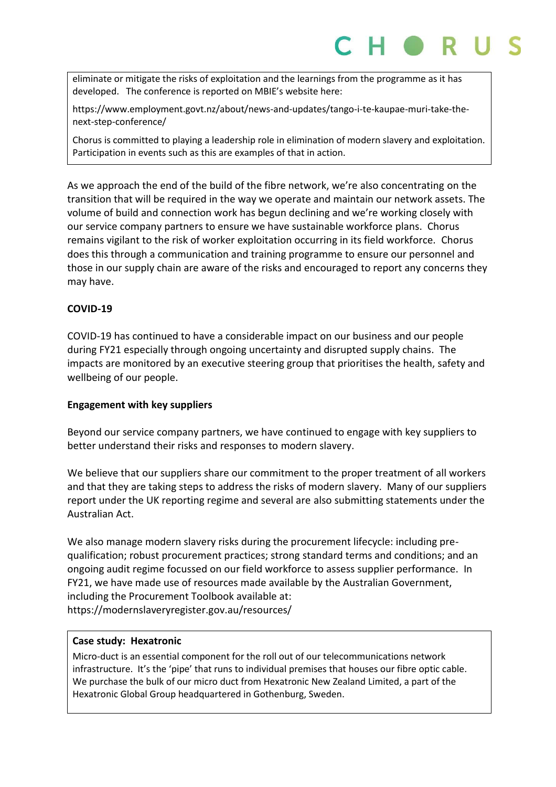eliminate or mitigate the risks of exploitation and the learnings from the programme as it has developed. The conference is reported on MBIE's website here:

https://www.employment.govt.nz/about/news-and-updates/tango-i-te-kaupae-muri-take-thenext-step-conference/

Chorus is committed to playing a leadership role in elimination of modern slavery and exploitation. Participation in events such as this are examples of that in action.

As we approach the end of the build of the fibre network, we're also concentrating on the transition that will be required in the way we operate and maintain our network assets. The volume of build and connection work has begun declining and we're working closely with our service company partners to ensure we have sustainable workforce plans. Chorus remains vigilant to the risk of worker exploitation occurring in its field workforce. Chorus does this through a communication and training programme to ensure our personnel and those in our supply chain are aware of the risks and encouraged to report any concerns they may have.

### **COVID-19**

COVID-19 has continued to have a considerable impact on our business and our people during FY21 especially through ongoing uncertainty and disrupted supply chains. The impacts are monitored by an executive steering group that prioritises the health, safety and wellbeing of our people.

### **Engagement with key suppliers**

Beyond our service company partners, we have continued to engage with key suppliers to better understand their risks and responses to modern slavery.

We believe that our suppliers share our commitment to the proper treatment of all workers and that they are taking steps to address the risks of modern slavery. Many of our suppliers report under the UK reporting regime and several are also submitting statements under the Australian Act.

We also manage modern slavery risks during the procurement lifecycle: including prequalification; robust procurement practices; strong standard terms and conditions; and an ongoing audit regime focussed on our field workforce to assess supplier performance. In FY21, we have made use of resources made available by the Australian Government, including the Procurement Toolbook available at: https://modernslaveryregister.gov.au/resources/

### **Case study: Hexatronic**

Micro-duct is an essential component for the roll out of our telecommunications network infrastructure. It's the 'pipe' that runs to individual premises that houses our fibre optic cable. We purchase the bulk of our micro duct from Hexatronic New Zealand Limited, a part of the Hexatronic Global Group headquartered in Gothenburg, Sweden.